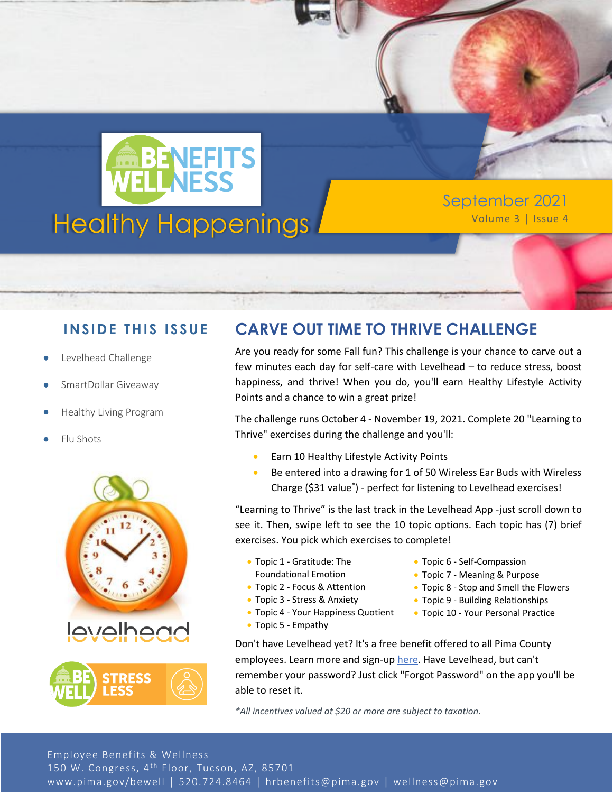

September 2021

### **INSIDE THIS ISSUE**

- Levelhead Challenge
- SmartDollar Giveaway
- Healthy Living Program
- Flu Shots





## **CARVE OUT TIME TO THRIVE CHALLENGE**

Are you ready for some Fall fun? This challenge is your chance to carve out a few minutes each day for self-care with Levelhead – to reduce stress, boost happiness, and thrive! When you do, you'll earn Healthy Lifestyle Activity Points and a chance to win a great prize!

The challenge runs October 4 - November 19, 2021. Complete 20 "Learning to Thrive" exercises during the challenge and you'll:

- Earn 10 Healthy Lifestyle Activity Points
- Be entered into a drawing for 1 of 50 Wireless Ear Buds with Wireless Charge (\$31 value\* ) - perfect for listening to Levelhead exercises!

"Learning to Thrive" is the last track in the Levelhead App -just scroll down to see it. Then, swipe left to see the 10 topic options. Each topic has (7) brief exercises. You pick which exercises to complete!

- Topic 1 Gratitude: The Foundational Emotion
- Topic 2 Focus & Attention
- Topic 3 Stress & Anxiety
- Topic 4 Your Happiness Quotient
- Topic 5 Empathy
- Topic 6 Self-Compassion
- Topic 7 Meaning & Purpose
- Topic 8 Stop and Smell the Flowers
- Topic 9 Building Relationships
- Topic 10 Your Personal Practice
- Don't have Levelhead yet? It's a free benefit offered to all Pima County employees. Learn more and sign-up [here.](https://www.getlevelhead.com/pimacounty) Have Levelhead, but can't remember your password? Just click "Forgot Password" on the app you'll be able to reset it.

*\*All incentives valued at \$20 or more are subject to taxation.*